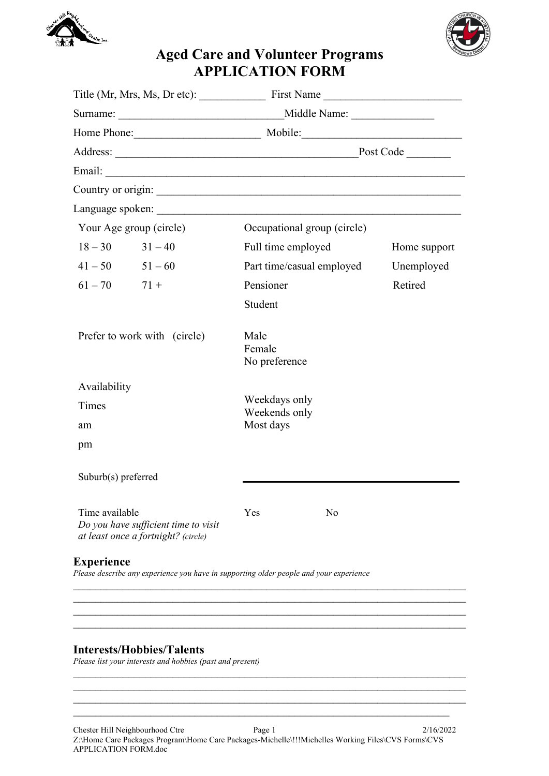



## Aged Care and Volunteer Programs APPLICATION FORM

|                                                                                               |                                  | Title (Mr, Mrs, Ms, Dr etc): First Name                                                |              |  |
|-----------------------------------------------------------------------------------------------|----------------------------------|----------------------------------------------------------------------------------------|--------------|--|
|                                                                                               |                                  |                                                                                        |              |  |
|                                                                                               |                                  | Home Phone: Mobile: Mobile:                                                            |              |  |
| Address: Post Code                                                                            |                                  |                                                                                        |              |  |
|                                                                                               |                                  |                                                                                        |              |  |
|                                                                                               |                                  | Country or origin:                                                                     |              |  |
|                                                                                               |                                  |                                                                                        |              |  |
| Your Age group (circle)                                                                       |                                  | Occupational group (circle)                                                            |              |  |
| $18 - 30$ $31 - 40$                                                                           |                                  | Full time employed                                                                     | Home support |  |
| $41 - 50$ $51 - 60$                                                                           |                                  | Part time/casual employed                                                              | Unemployed   |  |
| $61 - 70$ $71 +$                                                                              |                                  | Pensioner                                                                              | Retired      |  |
|                                                                                               |                                  | Student                                                                                |              |  |
| Prefer to work with (circle)                                                                  |                                  | Male<br>Female<br>No preference                                                        |              |  |
| Availability                                                                                  |                                  |                                                                                        |              |  |
| Times                                                                                         |                                  | Weekdays only<br>Weekends only                                                         |              |  |
| am                                                                                            |                                  | Most days                                                                              |              |  |
| pm                                                                                            |                                  |                                                                                        |              |  |
| Suburb(s) preferred                                                                           |                                  |                                                                                        |              |  |
| Time available<br>Do you have sufficient time to visit<br>at least once a fortnight? (circle) |                                  | Yes<br>No                                                                              |              |  |
| <b>Experience</b>                                                                             |                                  | Please describe any experience you have in supporting older people and your experience |              |  |
|                                                                                               |                                  |                                                                                        |              |  |
|                                                                                               |                                  |                                                                                        |              |  |
|                                                                                               | <b>Interests/Hobbies/Talents</b> |                                                                                        |              |  |

Please list your interests and hobbies (past and present)